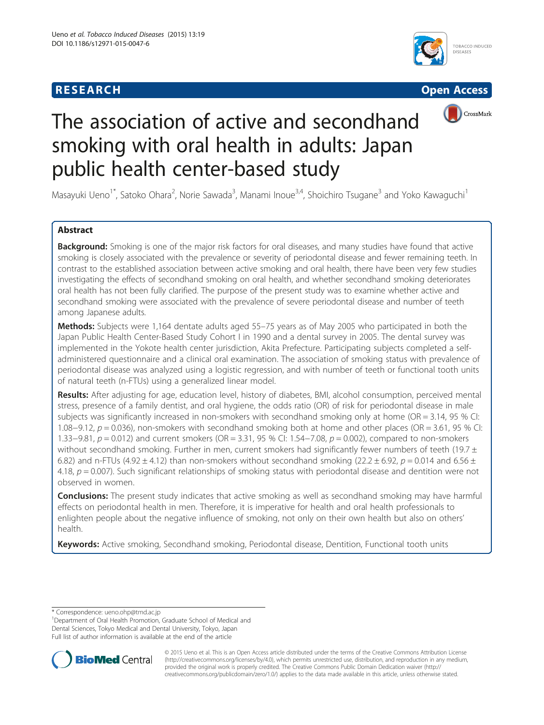## **RESEARCH CHEAR CHEAR CHEAR CHEAR CHEAR CHEAR CHEAR CHEAR CHEAR CHEAR CHEAR CHEAR CHEAR CHEAR CHEAR CHEAR CHEAR**







# The association of active and secondhand smoking with oral health in adults: Japan public health center-based study

Masayuki Ueno<sup>1\*</sup>, Satoko Ohara<sup>2</sup>, Norie Sawada<sup>3</sup>, Manami Inoue<sup>3,4</sup>, Shoichiro Tsugane<sup>3</sup> and Yoko Kawaguchi<sup>1</sup>

## Abstract

Background: Smoking is one of the major risk factors for oral diseases, and many studies have found that active smoking is closely associated with the prevalence or severity of periodontal disease and fewer remaining teeth. In contrast to the established association between active smoking and oral health, there have been very few studies investigating the effects of secondhand smoking on oral health, and whether secondhand smoking deteriorates oral health has not been fully clarified. The purpose of the present study was to examine whether active and secondhand smoking were associated with the prevalence of severe periodontal disease and number of teeth among Japanese adults.

Methods: Subjects were 1,164 dentate adults aged 55–75 years as of May 2005 who participated in both the Japan Public Health Center-Based Study Cohort I in 1990 and a dental survey in 2005. The dental survey was implemented in the Yokote health center jurisdiction, Akita Prefecture. Participating subjects completed a selfadministered questionnaire and a clinical oral examination. The association of smoking status with prevalence of periodontal disease was analyzed using a logistic regression, and with number of teeth or functional tooth units of natural teeth (n-FTUs) using a generalized linear model.

Results: After adjusting for age, education level, history of diabetes, BMI, alcohol consumption, perceived mental stress, presence of a family dentist, and oral hygiene, the odds ratio (OR) of risk for periodontal disease in male subjects was significantly increased in non-smokers with secondhand smoking only at home (OR = 3.14, 95 % CI: 1.08−9.12, p = 0.036), non-smokers with secondhand smoking both at home and other places (OR = 3.61, 95 % CI: 1.33–9.81,  $p = 0.012$ ) and current smokers (OR = 3.31, 95 % CI: 1.54–7.08,  $p = 0.002$ ), compared to non-smokers without secondhand smoking. Further in men, current smokers had significantly fewer numbers of teeth (19.7  $\pm$ 6.82) and n-FTUs (4.92  $\pm$  4.12) than non-smokers without secondhand smoking (22.2  $\pm$  6.92, p = 0.014 and 6.56  $\pm$ 4.18,  $p = 0.007$ ). Such significant relationships of smoking status with periodontal disease and dentition were not observed in women.

**Conclusions:** The present study indicates that active smoking as well as secondhand smoking may have harmful effects on periodontal health in men. Therefore, it is imperative for health and oral health professionals to enlighten people about the negative influence of smoking, not only on their own health but also on others' health.

Keywords: Active smoking, Secondhand smoking, Periodontal disease, Dentition, Functional tooth units

\* Correspondence: [ueno.ohp@tmd.ac.jp](mailto:ueno.ohp@tmd.ac.jp) <sup>1</sup>

<sup>1</sup>Department of Oral Health Promotion, Graduate School of Medical and Dental Sciences, Tokyo Medical and Dental University, Tokyo, Japan Full list of author information is available at the end of the article



© 2015 Ueno et al. This is an Open Access article distributed under the terms of the Creative Commons Attribution License [\(http://creativecommons.org/licenses/by/4.0\)](http://creativecommons.org/licenses/by/4.0), which permits unrestricted use, distribution, and reproduction in any medium, provided the original work is properly credited. The Creative Commons Public Domain Dedication waiver [\(http://](http://creativecommons.org/publicdomain/zero/1.0/) [creativecommons.org/publicdomain/zero/1.0/\)](http://creativecommons.org/publicdomain/zero/1.0/) applies to the data made available in this article, unless otherwise stated.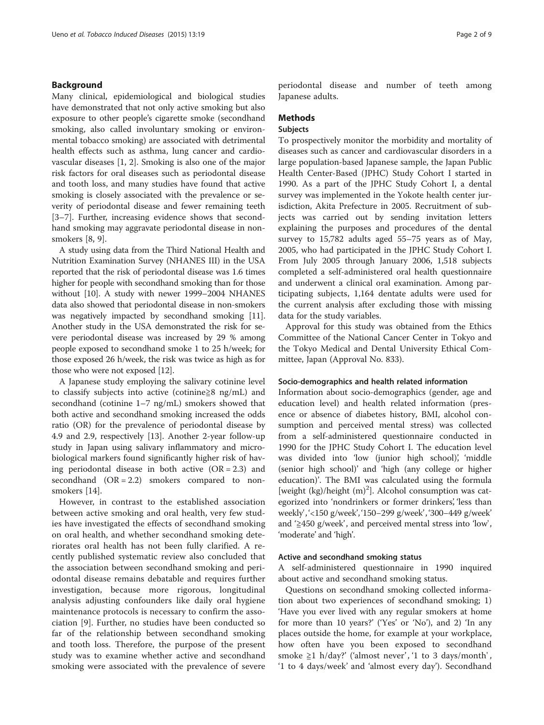## Background

Many clinical, epidemiological and biological studies have demonstrated that not only active smoking but also exposure to other people's cigarette smoke (secondhand smoking, also called involuntary smoking or environmental tobacco smoking) are associated with detrimental health effects such as asthma, lung cancer and cardiovascular diseases [\[1](#page-7-0), [2](#page-7-0)]. Smoking is also one of the major risk factors for oral diseases such as periodontal disease and tooth loss, and many studies have found that active smoking is closely associated with the prevalence or severity of periodontal disease and fewer remaining teeth [[3](#page-7-0)–[7\]](#page-7-0). Further, increasing evidence shows that secondhand smoking may aggravate periodontal disease in nonsmokers [[8, 9\]](#page-7-0).

A study using data from the Third National Health and Nutrition Examination Survey (NHANES III) in the USA reported that the risk of periodontal disease was 1.6 times higher for people with secondhand smoking than for those without [\[10\]](#page-7-0). A study with newer 1999–2004 NHANES data also showed that periodontal disease in non-smokers was negatively impacted by secondhand smoking [[11](#page-7-0)]. Another study in the USA demonstrated the risk for severe periodontal disease was increased by 29 % among people exposed to secondhand smoke 1 to 25 h/week; for those exposed 26 h/week, the risk was twice as high as for those who were not exposed [\[12\]](#page-8-0).

A Japanese study employing the salivary cotinine level to classify subjects into active (cotinine≧8 ng/mL) and secondhand (cotinine 1–7 ng/mL) smokers showed that both active and secondhand smoking increased the odds ratio (OR) for the prevalence of periodontal disease by 4.9 and 2.9, respectively [[13\]](#page-8-0). Another 2-year follow-up study in Japan using salivary inflammatory and microbiological markers found significantly higher risk of having periodontal disease in both active  $(OR = 2.3)$  and secondhand  $(OR = 2.2)$  smokers compared to nonsmokers [[14](#page-8-0)].

However, in contrast to the established association between active smoking and oral health, very few studies have investigated the effects of secondhand smoking on oral health, and whether secondhand smoking deteriorates oral health has not been fully clarified. A recently published systematic review also concluded that the association between secondhand smoking and periodontal disease remains debatable and requires further investigation, because more rigorous, longitudinal analysis adjusting confounders like daily oral hygiene maintenance protocols is necessary to confirm the association [[9\]](#page-7-0). Further, no studies have been conducted so far of the relationship between secondhand smoking and tooth loss. Therefore, the purpose of the present study was to examine whether active and secondhand smoking were associated with the prevalence of severe

periodontal disease and number of teeth among Japanese adults.

## Methods

## Subjects

To prospectively monitor the morbidity and mortality of diseases such as cancer and cardiovascular disorders in a large population-based Japanese sample, the Japan Public Health Center-Based (JPHC) Study Cohort I started in 1990. As a part of the JPHC Study Cohort I, a dental survey was implemented in the Yokote health center jurisdiction, Akita Prefecture in 2005. Recruitment of subjects was carried out by sending invitation letters explaining the purposes and procedures of the dental survey to 15,782 adults aged 55–75 years as of May, 2005, who had participated in the JPHC Study Cohort I. From July 2005 through January 2006, 1,518 subjects completed a self-administered oral health questionnaire and underwent a clinical oral examination. Among participating subjects, 1,164 dentate adults were used for the current analysis after excluding those with missing data for the study variables.

Approval for this study was obtained from the Ethics Committee of the National Cancer Center in Tokyo and the Tokyo Medical and Dental University Ethical Committee, Japan (Approval No. 833).

## Socio-demographics and health related information

Information about socio-demographics (gender, age and education level) and health related information (presence or absence of diabetes history, BMI, alcohol consumption and perceived mental stress) was collected from a self-administered questionnaire conducted in 1990 for the JPHC Study Cohort I. The education level was divided into 'low (junior high school)', 'middle (senior high school)' and 'high (any college or higher education)'. The BMI was calculated using the formula [weight (kg)/height  $(m)^2$ ]. Alcohol consumption was categorized into 'nondrinkers or former drinkers', 'less than weekly', '<150 g/week', '150−299 g/week' , '300−449 g/week' and  $'$  ≥450 g/week', and perceived mental stress into 'low', 'moderate' and 'high'.

## Active and secondhand smoking status

A self-administered questionnaire in 1990 inquired about active and secondhand smoking status.

Questions on secondhand smoking collected information about two experiences of secondhand smoking; 1) 'Have you ever lived with any regular smokers at home for more than 10 years?' ('Yes' or 'No'), and 2) 'In any places outside the home, for example at your workplace, how often have you been exposed to secondhand smoke  $\geq$ 1 h/day?' ('almost never', '1 to 3 days/month', '1 to 4 days/week' and 'almost every day'). Secondhand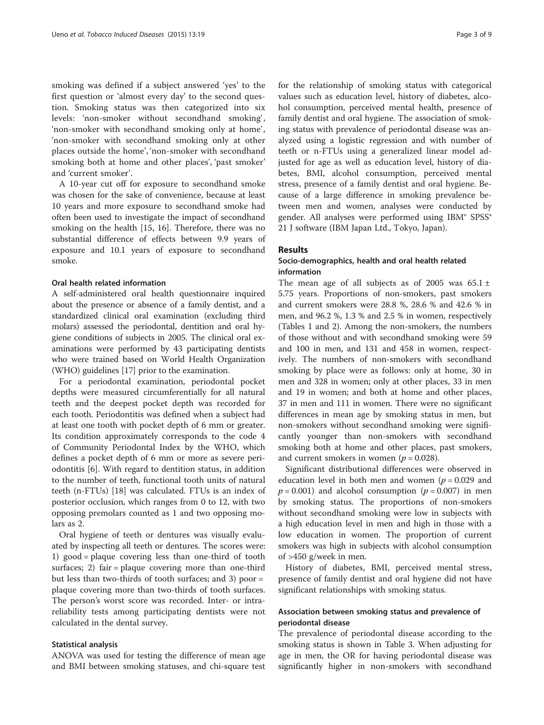smoking was defined if a subject answered 'yes' to the first question or 'almost every day' to the second question. Smoking status was then categorized into six levels: 'non-smoker without secondhand smoking', 'non-smoker with secondhand smoking only at home', 'non-smoker with secondhand smoking only at other places outside the home', 'non-smoker with secondhand smoking both at home and other places', 'past smoker' and 'current smoker'.

A 10-year cut off for exposure to secondhand smoke was chosen for the sake of convenience, because at least 10 years and more exposure to secondhand smoke had often been used to investigate the impact of secondhand smoking on the health [[15, 16](#page-8-0)]. Therefore, there was no substantial difference of effects between 9.9 years of exposure and 10.1 years of exposure to secondhand smoke.

## Oral health related information

A self-administered oral health questionnaire inquired about the presence or absence of a family dentist, and a standardized clinical oral examination (excluding third molars) assessed the periodontal, dentition and oral hygiene conditions of subjects in 2005. The clinical oral examinations were performed by 43 participating dentists who were trained based on World Health Organization (WHO) guidelines [\[17\]](#page-8-0) prior to the examination.

For a periodontal examination, periodontal pocket depths were measured circumferentially for all natural teeth and the deepest pocket depth was recorded for each tooth. Periodontitis was defined when a subject had at least one tooth with pocket depth of 6 mm or greater. Its condition approximately corresponds to the code 4 of Community Periodontal Index by the WHO, which defines a pocket depth of 6 mm or more as severe periodontitis [\[6\]](#page-7-0). With regard to dentition status, in addition to the number of teeth, functional tooth units of natural teeth (n-FTUs) [\[18](#page-8-0)] was calculated. FTUs is an index of posterior occlusion, which ranges from 0 to 12, with two opposing premolars counted as 1 and two opposing molars as 2.

Oral hygiene of teeth or dentures was visually evaluated by inspecting all teeth or dentures. The scores were: 1) good = plaque covering less than one-third of tooth surfaces; 2) fair = plaque covering more than one-third but less than two-thirds of tooth surfaces; and 3) poor = plaque covering more than two-thirds of tooth surfaces. The person's worst score was recorded. Inter- or intrareliability tests among participating dentists were not calculated in the dental survey.

#### Statistical analysis

ANOVA was used for testing the difference of mean age and BMI between smoking statuses, and chi-square test for the relationship of smoking status with categorical values such as education level, history of diabetes, alcohol consumption, perceived mental health, presence of family dentist and oral hygiene. The association of smoking status with prevalence of periodontal disease was analyzed using a logistic regression and with number of teeth or n-FTUs using a generalized linear model adjusted for age as well as education level, history of diabetes, BMI, alcohol consumption, perceived mental stress, presence of a family dentist and oral hygiene. Because of a large difference in smoking prevalence between men and women, analyses were conducted by gender. All analyses were performed using IBM® SPSS® 21 J software (IBM Japan Ltd., Tokyo, Japan).

## Results

## Socio-demographics, health and oral health related information

The mean age of all subjects as of 2005 was  $65.1 \pm$ 5.75 years. Proportions of non-smokers, past smokers and current smokers were 28.8 %, 28.6 % and 42.6 % in men, and 96.2 %, 1.3 % and 2.5 % in women, respectively (Tables [1](#page-3-0) and [2\)](#page-4-0). Among the non-smokers, the numbers of those without and with secondhand smoking were 59 and 100 in men, and 131 and 458 in women, respectively. The numbers of non-smokers with secondhand smoking by place were as follows: only at home, 30 in men and 328 in women; only at other places, 33 in men and 19 in women; and both at home and other places, 37 in men and 111 in women. There were no significant differences in mean age by smoking status in men, but non-smokers without secondhand smoking were significantly younger than non-smokers with secondhand smoking both at home and other places, past smokers, and current smokers in women ( $p = 0.028$ ).

Significant distributional differences were observed in education level in both men and women ( $p = 0.029$  and  $p = 0.001$ ) and alcohol consumption ( $p = 0.007$ ) in men by smoking status. The proportions of non-smokers without secondhand smoking were low in subjects with a high education level in men and high in those with a low education in women. The proportion of current smokers was high in subjects with alcohol consumption of >450 g/week in men.

History of diabetes, BMI, perceived mental stress, presence of family dentist and oral hygiene did not have significant relationships with smoking status.

## Association between smoking status and prevalence of periodontal disease

The prevalence of periodontal disease according to the smoking status is shown in Table [3.](#page-5-0) When adjusting for age in men, the OR for having periodontal disease was significantly higher in non-smokers with secondhand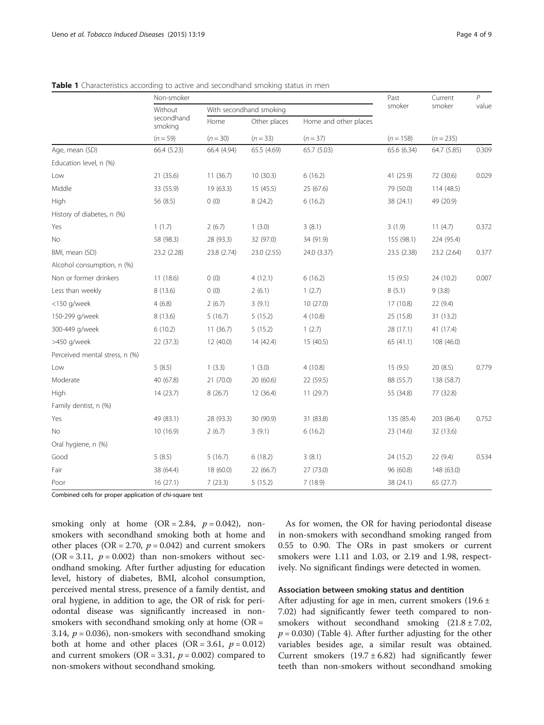|                                | Non-smoker            | Past                    | Current      | $\overline{P}$        |             |             |       |
|--------------------------------|-----------------------|-------------------------|--------------|-----------------------|-------------|-------------|-------|
|                                | Without               | With secondhand smoking |              |                       | smoker      | smoker      | value |
|                                | secondhand<br>smoking | Home                    | Other places | Home and other places |             |             |       |
|                                | $(n = 59)$            | $(n = 30)$              | $(n = 33)$   | $(n = 37)$            | $(n = 158)$ | $(n = 235)$ |       |
| Age, mean (SD)                 | 66.4 (5.23)           | 66.4 (4.94)             | 65.5 (4.69)  | 65.7 (5.03)           | 65.6 (6.34) | 64.7 (5.85) | 0.309 |
| Education level, n (%)         |                       |                         |              |                       |             |             |       |
| Low                            | 21 (35.6)             | 11(36.7)                | 10(30.3)     | 6(16.2)               | 41 (25.9)   | 72 (30.6)   | 0.029 |
| Middle                         | 33 (55.9)             | 19 (63.3)               | 15 (45.5)    | 25 (67.6)             | 79 (50.0)   | 114(48.5)   |       |
| High                           | 56 (8.5)              | 0(0)                    | 8(24.2)      | 6(16.2)               | 38 (24.1)   | 49 (20.9)   |       |
| History of diabetes, n (%)     |                       |                         |              |                       |             |             |       |
| Yes                            | 1(1.7)                | 2(6.7)                  | 1(3.0)       | 3(8.1)                | 3(1.9)      | 11(4.7)     | 0.372 |
| No                             | 58 (98.3)             | 28 (93.3)               | 32 (97.0)    | 34 (91.9)             | 155 (98.1)  | 224 (95.4)  |       |
| BMI, mean (SD)                 | 23.2 (2.28)           | 23.8 (2.74)             | 23.0 (2.55)  | 24.0 (3.37)           | 23.5 (2.38) | 23.2 (2.64) | 0.377 |
| Alcohol consumption, n (%)     |                       |                         |              |                       |             |             |       |
| Non or former drinkers         | 11(18.6)              | 0(0)                    | 4(12.1)      | 6(16.2)               | 15(9.5)     | 24 (10.2)   | 0.007 |
| Less than weekly               | 8 (13.6)              | 0(0)                    | 2(6.1)       | 1(2.7)                | 8(5.1)      | 9(3.8)      |       |
| <150 g/week                    | 4(6.8)                | 2(6.7)                  | 3(9.1)       | 10(27.0)              | 17 (10.8)   | 22 (9.4)    |       |
| 150-299 g/week                 | 8 (13.6)              | 5(16.7)                 | 5(15.2)      | 4(10.8)               | 25 (15.8)   | 31 (13.2)   |       |
| 300-449 g/week                 | 6(10.2)               | 11(36.7)                | 5(15.2)      | 1(2.7)                | 28 (17.1)   | 41 (17.4)   |       |
| >450 g/week                    | 22 (37.3)             | 12 (40.0)               | 14 (42.4)    | 15 (40.5)             | 65 (41.1)   | 108 (46.0)  |       |
| Perceived mental stress, n (%) |                       |                         |              |                       |             |             |       |
| Low                            | 5(8.5)                | 1(3.3)                  | 1(3.0)       | 4(10.8)               | 15 (9.5)    | 20 (8.5)    | 0.779 |
| Moderate                       | 40 (67.8)             | 21 (70.0)               | 20(60.6)     | 22 (59.5)             | 88 (55.7)   | 138 (58.7)  |       |
| High                           | 14(23.7)              | 8(26.7)                 | 12(36.4)     | 11(29.7)              | 55 (34.8)   | 77 (32.8)   |       |
| Family dentist, n (%)          |                       |                         |              |                       |             |             |       |
| Yes                            | 49 (83.1)             | 28 (93.3)               | 30 (90.9)    | 31 (83.8)             | 135 (85.4)  | 203 (86.4)  | 0.752 |
| No                             | 10(16.9)              | 2(6.7)                  | 3(9.1)       | 6(16.2)               | 23 (14.6)   | 32 (13.6)   |       |
| Oral hygiene, n (%)            |                       |                         |              |                       |             |             |       |
| Good                           | 5(8.5)                | 5(16.7)                 | 6(18.2)      | 3(8.1)                | 24 (15.2)   | 22(9.4)     | 0.534 |
| Fair                           | 38 (64.4)             | 18 (60.0)               | 22 (66.7)    | 27 (73.0)             | 96 (60.8)   | 148 (63.0)  |       |
| Poor                           | 16(27.1)              | 7(23.3)                 | 5(15.2)      | 7(18.9)               | 38 (24.1)   | 65 (27.7)   |       |

<span id="page-3-0"></span>Table 1 Characteristics according to active and secondhand smoking status in men

Combined cells for proper application of chi-square test

smoking only at home  $(OR = 2.84, p = 0.042)$ , nonsmokers with secondhand smoking both at home and other places (OR = 2.70,  $p = 0.042$ ) and current smokers  $(OR = 3.11, p = 0.002)$  than non-smokers without secondhand smoking. After further adjusting for education level, history of diabetes, BMI, alcohol consumption, perceived mental stress, presence of a family dentist, and oral hygiene, in addition to age, the OR of risk for periodontal disease was significantly increased in nonsmokers with secondhand smoking only at home (OR = 3.14,  $p = 0.036$ ), non-smokers with secondhand smoking both at home and other places  $(OR = 3.61, p = 0.012)$ and current smokers (OR = 3.31,  $p = 0.002$ ) compared to non-smokers without secondhand smoking.

As for women, the OR for having periodontal disease in non-smokers with secondhand smoking ranged from 0.55 to 0.90. The ORs in past smokers or current smokers were 1.11 and 1.03, or 2.19 and 1.98, respectively. No significant findings were detected in women.

## Association between smoking status and dentition

After adjusting for age in men, current smokers (19.6 ± 7.02) had significantly fewer teeth compared to nonsmokers without secondhand smoking  $(21.8 \pm 7.02,$  $p = 0.030$ ) (Table [4](#page-5-0)). After further adjusting for the other variables besides age, a similar result was obtained. Current smokers  $(19.7 \pm 6.82)$  had significantly fewer teeth than non-smokers without secondhand smoking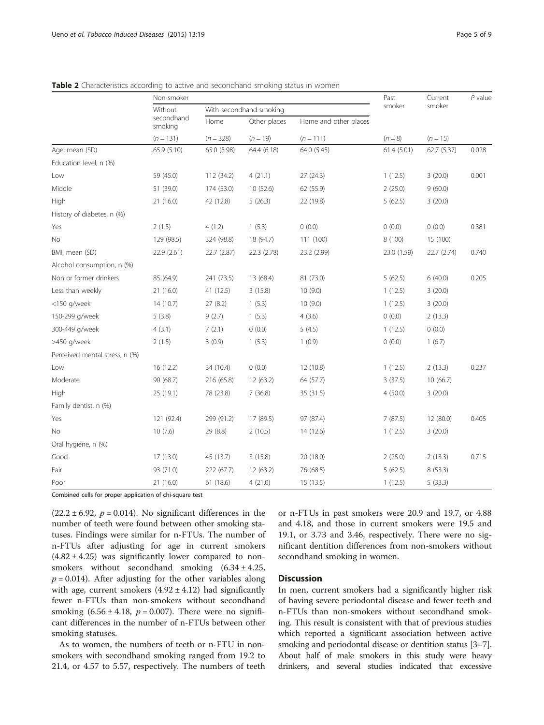|                                | Non-smoker            | Past                    | Current      | $P$ value             |             |            |       |
|--------------------------------|-----------------------|-------------------------|--------------|-----------------------|-------------|------------|-------|
|                                | Without               | With secondhand smoking |              |                       | smoker      | smoker     |       |
|                                | secondhand<br>smoking | Home                    | Other places | Home and other places |             |            |       |
|                                | $(n = 131)$           | $(n = 328)$             | $(n = 19)$   | $(n = 111)$           | $(n = 8)$   | $(n = 15)$ |       |
| Age, mean (SD)                 | 65.9 (5.10)           | 65.0 (5.98)             | 64.4 (6.18)  | 64.0 (5.45)           | 61.4 (5.01) | 62.7(5.37) | 0.028 |
| Education level, n (%)         |                       |                         |              |                       |             |            |       |
| Low                            | 59 (45.0)             | 112 (34.2)              | 4(21.1)      | 27 (24.3)             | 1(12.5)     | 3(20.0)    | 0.001 |
| Middle                         | 51 (39.0)             | 174 (53.0)              | 10(52.6)     | 62 (55.9)             | 2(25.0)     | 9(60.0)    |       |
| High                           | 21 (16.0)             | 42 (12.8)               | 5(26.3)      | 22 (19.8)             | 5(62.5)     | 3(20.0)    |       |
| History of diabetes, n (%)     |                       |                         |              |                       |             |            |       |
| Yes                            | 2(1.5)                | 4(1.2)                  | 1(5.3)       | 0(0.0)                | 0(0.0)      | 0(0.0)     | 0.381 |
| No                             | 129 (98.5)            | 324 (98.8)              | 18 (94.7)    | 111 (100)             | 8 (100)     | 15 (100)   |       |
| BMI, mean (SD)                 | 22.9 (2.61)           | 22.7(2.87)              | 22.3 (2.78)  | 23.2 (2.99)           | 23.0 (1.59) | 22.7(2.74) | 0.740 |
| Alcohol consumption, n (%)     |                       |                         |              |                       |             |            |       |
| Non or former drinkers         | 85 (64.9)             | 241 (73.5)              | 13 (68.4)    | 81 (73.0)             | 5(62.5)     | 6(40.0)    | 0.205 |
| Less than weekly               | 21 (16.0)             | 41 (12.5)               | 3(15.8)      | 10(9.0)               | 1(12.5)     | 3(20.0)    |       |
| <150 g/week                    | 14 (10.7)             | 27 (8.2)                | 1(5.3)       | 10(9.0)               | 1(12.5)     | 3(20.0)    |       |
| 150-299 g/week                 | 5(3.8)                | 9(2.7)                  | 1(5.3)       | 4(3.6)                | 0(0.0)      | 2(13.3)    |       |
| 300-449 g/week                 | 4(3.1)                | 7(2.1)                  | 0(0.0)       | 5(4.5)                | 1(12.5)     | 0(0.0)     |       |
| >450 g/week                    | 2(1.5)                | 3(0.9)                  | 1(5.3)       | 1(0.9)                | 0(0.0)      | 1(6.7)     |       |
| Perceived mental stress, n (%) |                       |                         |              |                       |             |            |       |
| Low                            | 16 (12.2)             | 34 (10.4)               | 0(0.0)       | 12 (10.8)             | 1(12.5)     | 2(13.3)    | 0.237 |
| Moderate                       | 90 (68.7)             | 216 (65.8)              | 12(63.2)     | 64 (57.7)             | 3(37.5)     | 10(66.7)   |       |
| High                           | 25 (19.1)             | 78 (23.8)               | 7(36.8)      | 35 (31.5)             | 4(50.0)     | 3(20.0)    |       |
| Family dentist, n (%)          |                       |                         |              |                       |             |            |       |
| Yes                            | 121 (92.4)            | 299 (91.2)              | 17 (89.5)    | 97 (87.4)             | 7(87.5)     | 12 (80.0)  | 0.405 |
| No                             | 10(7.6)               | 29 (8.8)                | 2(10.5)      | 14 (12.6)             | 1(12.5)     | 3(20.0)    |       |
| Oral hygiene, n (%)            |                       |                         |              |                       |             |            |       |
| Good                           | 17 (13.0)             | 45 (13.7)               | 3(15.8)      | 20 (18.0)             | 2(25.0)     | 2(13.3)    | 0.715 |
| Fair                           | 93 (71.0)             | 222 (67.7)              | 12(63.2)     | 76 (68.5)             | 5(62.5)     | 8(53.3)    |       |
| Poor                           | 21 (16.0)             | 61 (18.6)               | 4(21.0)      | 15 (13.5)             | 1(12.5)     | 5(33.3)    |       |

<span id="page-4-0"></span>Table 2 Characteristics according to active and secondhand smoking status in women

Combined cells for proper application of chi-square test

 $(22.2 \pm 6.92, p = 0.014)$ . No significant differences in the number of teeth were found between other smoking statuses. Findings were similar for n-FTUs. The number of n-FTUs after adjusting for age in current smokers  $(4.82 \pm 4.25)$  was significantly lower compared to nonsmokers without secondhand smoking  $(6.34 \pm 4.25,$  $p = 0.014$ ). After adjusting for the other variables along with age, current smokers  $(4.92 \pm 4.12)$  had significantly fewer n-FTUs than non-smokers without secondhand smoking  $(6.56 \pm 4.18, p = 0.007)$ . There were no significant differences in the number of n-FTUs between other smoking statuses.

As to women, the numbers of teeth or n-FTU in nonsmokers with secondhand smoking ranged from 19.2 to 21.4, or 4.57 to 5.57, respectively. The numbers of teeth or n-FTUs in past smokers were 20.9 and 19.7, or 4.88 and 4.18, and those in current smokers were 19.5 and 19.1, or 3.73 and 3.46, respectively. There were no significant dentition differences from non-smokers without secondhand smoking in women.

## **Discussion**

In men, current smokers had a significantly higher risk of having severe periodontal disease and fewer teeth and n-FTUs than non-smokers without secondhand smoking. This result is consistent with that of previous studies which reported a significant association between active smoking and periodontal disease or dentition status [[3](#page-7-0)–[7](#page-7-0)]. About half of male smokers in this study were heavy drinkers, and several studies indicated that excessive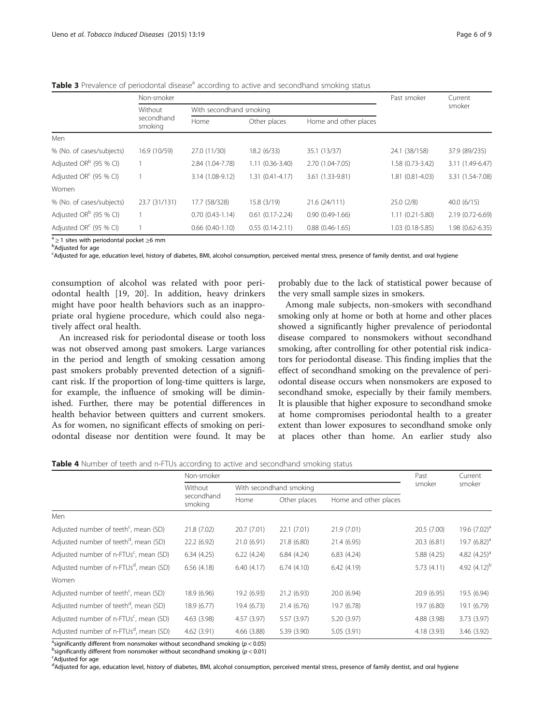<span id="page-5-0"></span>

| Table 3 Prevalence of periodontal disease <sup>a</sup> according to active and secondhand smoking status |             |         |  |
|----------------------------------------------------------------------------------------------------------|-------------|---------|--|
| Non-smoker                                                                                               | Past smoker | Current |  |

|                                    | Non-smoker            |                         | Past smoker         | Current               |                     |                  |  |
|------------------------------------|-----------------------|-------------------------|---------------------|-----------------------|---------------------|------------------|--|
|                                    | Without               | With secondhand smoking |                     |                       | smoker              |                  |  |
|                                    | secondhand<br>smoking | Home                    | Other places        | Home and other places |                     |                  |  |
| Men                                |                       |                         |                     |                       |                     |                  |  |
| % (No. of cases/subjects)          | 16.9 (10/59)          | 27.0 (11/30)            | 18.2(6/33)          | 35.1 (13/37)          | 24.1 (38/158)       | 37.9 (89/235)    |  |
| Adjusted OR <sup>b</sup> (95 % CI) |                       | 2.84 (1.04-7.78)        | $1.11(0.36 - 3.40)$ | 2.70 (1.04-7.05)      | 1.58 (0.73-3.42)    | 3.11 (1.49-6.47) |  |
| Adjusted OR <sup>c</sup> (95 % CI) |                       | 3.14 (1.08-9.12)        | $1.31(0.41 - 4.17)$ | 3.61 (1.33-9.81)      | 1.81 (0.81-4.03)    | 3.31 (1.54-7.08) |  |
| Women                              |                       |                         |                     |                       |                     |                  |  |
| % (No. of cases/subjects)          | 23.7 (31/131)         | 17.7 (58/328)           | 15.8 (3/19)         | 21.6 (24/111)         | 25.0(2/8)           | 40.0(6/15)       |  |
| Adjusted OR <sup>b</sup> (95 % CI) |                       | $0.70(0.43-1.14)$       | $0.61(0.17 - 2.24)$ | $0.90(0.49-1.66)$     | $1.11(0.21 - 5.80)$ | 2.19 (0.72-6.69) |  |
| Adjusted OR <sup>c</sup> (95 % CI) |                       | $0.66$ $(0.40-1.10)$    | $0.55(0.14-2.11)$   | $0.88(0.46-1.65)$     | 1.03 (0.18-5.85)    | 1.98 (0.62-6.35) |  |
|                                    |                       |                         |                     |                       |                     |                  |  |

 $a^2 \ge 1$  sites with periodontal pocket  $\ge 6$  mm **b**Adjusted for age

c Adjusted for age, education level, history of diabetes, BMI, alcohol consumption, perceived mental stress, presence of family dentist, and oral hygiene

consumption of alcohol was related with poor periodontal health [\[19](#page-8-0), [20\]](#page-8-0). In addition, heavy drinkers might have poor health behaviors such as an inappropriate oral hygiene procedure, which could also negatively affect oral health.

An increased risk for periodontal disease or tooth loss was not observed among past smokers. Large variances in the period and length of smoking cessation among past smokers probably prevented detection of a significant risk. If the proportion of long-time quitters is large, for example, the influence of smoking will be diminished. Further, there may be potential differences in health behavior between quitters and current smokers. As for women, no significant effects of smoking on periodontal disease nor dentition were found. It may be

probably due to the lack of statistical power because of the very small sample sizes in smokers.

Among male subjects, non-smokers with secondhand smoking only at home or both at home and other places showed a significantly higher prevalence of periodontal disease compared to nonsmokers without secondhand smoking, after controlling for other potential risk indicators for periodontal disease. This finding implies that the effect of secondhand smoking on the prevalence of periodontal disease occurs when nonsmokers are exposed to secondhand smoke, especially by their family members. It is plausible that higher exposure to secondhand smoke at home compromises periodontal health to a greater extent than lower exposures to secondhand smoke only at places other than home. An earlier study also

Table 4 Number of teeth and n-FTUs according to active and secondhand smoking status

|                                                    | Non-smoker                       | Past        | Current                 |                       |             |                   |
|----------------------------------------------------|----------------------------------|-------------|-------------------------|-----------------------|-------------|-------------------|
|                                                    | Without<br>secondhand<br>smoking |             | With secondhand smoking | smoker                | smoker      |                   |
|                                                    |                                  | Home        | Other places            | Home and other places |             |                   |
| Men                                                |                                  |             |                         |                       |             |                   |
| Adjusted number of teeth <sup>c</sup> , mean (SD)  | 21.8 (7.02)                      | 20.7 (7.01) | 22.1(7.01)              | 21.9 (7.01)           | 20.5 (7.00) | 19.6 $(7.02)^a$   |
| Adjusted number of teeth <sup>d</sup> , mean (SD)  | 22.2(6.92)                       | 21.0 (6.91) | 21.8(6.80)              | 21.4(6.95)            | 20.3(6.81)  | 19.7 $(6.82)^{a}$ |
| Adjusted number of n-FTUs <sup>c</sup> , mean (SD) | 6.34(4.25)                       | 6.22(4.24)  | 6.84(4.24)              | 6.83(4.24)            | 5.88(4.25)  | 4.82 $(4.25)^a$   |
| Adjusted number of n-FTUs <sup>d</sup> , mean (SD) | 6.56(4.18)                       | 6.40(4.17)  | 6.74(4.10)              | 6.42(4.19)            | 5.73(4.11)  | 4.92 $(4.12)^{b}$ |
| Women                                              |                                  |             |                         |                       |             |                   |
| Adjusted number of teeth <sup>c</sup> , mean (SD)  | 18.9 (6.96)                      | 19.2 (6.93) | 21.2(6.93)              | 20.0 (6.94)           | 20.9 (6.95) | 19.5 (6.94)       |
| Adjusted number of teeth <sup>d</sup> , mean (SD)  | 18.9 (6.77)                      | 19.4 (6.73) | 21.4(6.76)              | 19.7 (6.78)           | 19.7 (6.80) | 19.1 (6.79)       |
| Adjusted number of n-FTUs <sup>c</sup> , mean (SD) | 4.63 (3.98)                      | 4.57(3.97)  | 5.57 (3.97)             | 5.20 (3.97)           | 4.88 (3.98) | 3.73(3.97)        |
| Adjusted number of n-FTUs <sup>d</sup> , mean (SD) | 4.62(3.91)                       | 4.66(3.88)  | 5.39 (3.90)             | 5.05 (3.91)           | 4.18(3.93)  | 3.46(3.92)        |

<sup>a</sup>significantly different from nonsmoker without secondhand smoking ( $p < 0.05$ )<br><sup>b</sup>significantly different from nonsmoker without secondhand smoking ( $p < 0.01$ )

 $b$ significantly different from nonsmoker without secondhand smoking ( $p < 0.01$ )

Adjusted for age

<sup>d</sup>Adjusted for age, education level, history of diabetes, BMI, alcohol consumption, perceived mental stress, presence of family dentist, and oral hygiene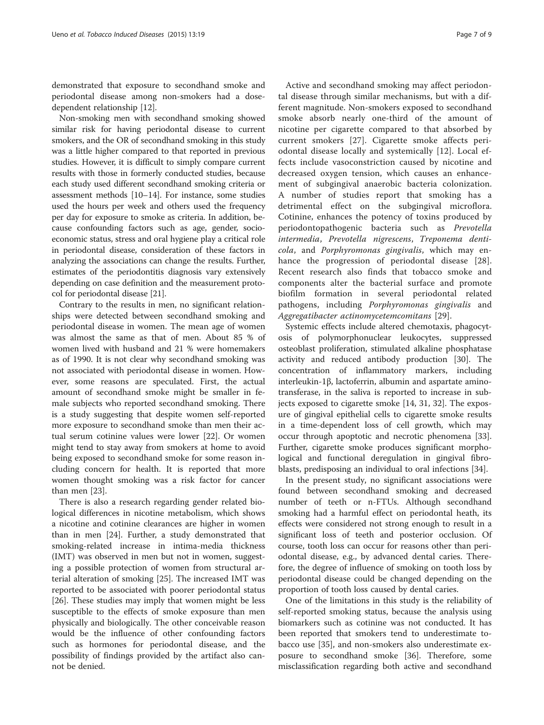demonstrated that exposure to secondhand smoke and periodontal disease among non-smokers had a dosedependent relationship [[12\]](#page-8-0).

Non-smoking men with secondhand smoking showed similar risk for having periodontal disease to current smokers, and the OR of secondhand smoking in this study was a little higher compared to that reported in previous studies. However, it is difficult to simply compare current results with those in formerly conducted studies, because each study used different secondhand smoking criteria or assessment methods [[10](#page-7-0)–[14\]](#page-8-0). For instance, some studies used the hours per week and others used the frequency per day for exposure to smoke as criteria. In addition, because confounding factors such as age, gender, socioeconomic status, stress and oral hygiene play a critical role in periodontal disease, consideration of these factors in analyzing the associations can change the results. Further, estimates of the periodontitis diagnosis vary extensively depending on case definition and the measurement protocol for periodontal disease [\[21\]](#page-8-0).

Contrary to the results in men, no significant relationships were detected between secondhand smoking and periodontal disease in women. The mean age of women was almost the same as that of men. About 85 % of women lived with husband and 21 % were homemakers as of 1990. It is not clear why secondhand smoking was not associated with periodontal disease in women. However, some reasons are speculated. First, the actual amount of secondhand smoke might be smaller in female subjects who reported secondhand smoking. There is a study suggesting that despite women self-reported more exposure to secondhand smoke than men their actual serum cotinine values were lower [[22\]](#page-8-0). Or women might tend to stay away from smokers at home to avoid being exposed to secondhand smoke for some reason including concern for health. It is reported that more women thought smoking was a risk factor for cancer than men [\[23\]](#page-8-0).

There is also a research regarding gender related biological differences in nicotine metabolism, which shows a nicotine and cotinine clearances are higher in women than in men [\[24](#page-8-0)]. Further, a study demonstrated that smoking-related increase in intima-media thickness (IMT) was observed in men but not in women, suggesting a possible protection of women from structural arterial alteration of smoking [[25](#page-8-0)]. The increased IMT was reported to be associated with poorer periodontal status [[26\]](#page-8-0). These studies may imply that women might be less susceptible to the effects of smoke exposure than men physically and biologically. The other conceivable reason would be the influence of other confounding factors such as hormones for periodontal disease, and the possibility of findings provided by the artifact also cannot be denied.

Active and secondhand smoking may affect periodontal disease through similar mechanisms, but with a different magnitude. Non-smokers exposed to secondhand smoke absorb nearly one-third of the amount of nicotine per cigarette compared to that absorbed by current smokers [[27](#page-8-0)]. Cigarette smoke affects periodontal disease locally and systemically [\[12](#page-8-0)]. Local effects include vasoconstriction caused by nicotine and decreased oxygen tension, which causes an enhancement of subgingival anaerobic bacteria colonization. A number of studies report that smoking has a detrimental effect on the subgingival microflora. Cotinine, enhances the potency of toxins produced by periodontopathogenic bacteria such as Prevotella intermedia, Prevotella nigrescens, Treponema denticola, and Porphyromonas gingivalis, which may enhance the progression of periodontal disease [[28](#page-8-0)]. Recent research also finds that tobacco smoke and components alter the bacterial surface and promote biofilm formation in several periodontal related pathogens, including Porphyromonas gingivalis and Aggregatibacter actinomycetemcomitans [\[29](#page-8-0)].

Systemic effects include altered chemotaxis, phagocytosis of polymorphonuclear leukocytes, suppressed osteoblast proliferation, stimulated alkaline phosphatase activity and reduced antibody production [\[30](#page-8-0)]. The concentration of inflammatory markers, including interleukin-1β, lactoferrin, albumin and aspartate aminotransferase, in the saliva is reported to increase in subjects exposed to cigarette smoke [\[14, 31, 32\]](#page-8-0). The exposure of gingival epithelial cells to cigarette smoke results in a time-dependent loss of cell growth, which may occur through apoptotic and necrotic phenomena [\[33](#page-8-0)]. Further, cigarette smoke produces significant morphological and functional deregulation in gingival fibroblasts, predisposing an individual to oral infections [\[34](#page-8-0)].

In the present study, no significant associations were found between secondhand smoking and decreased number of teeth or n-FTUs. Although secondhand smoking had a harmful effect on periodontal heath, its effects were considered not strong enough to result in a significant loss of teeth and posterior occlusion. Of course, tooth loss can occur for reasons other than periodontal disease, e.g., by advanced dental caries. Therefore, the degree of influence of smoking on tooth loss by periodontal disease could be changed depending on the proportion of tooth loss caused by dental caries.

One of the limitations in this study is the reliability of self-reported smoking status, because the analysis using biomarkers such as cotinine was not conducted. It has been reported that smokers tend to underestimate tobacco use [[35](#page-8-0)], and non-smokers also underestimate exposure to secondhand smoke [[36\]](#page-8-0). Therefore, some misclassification regarding both active and secondhand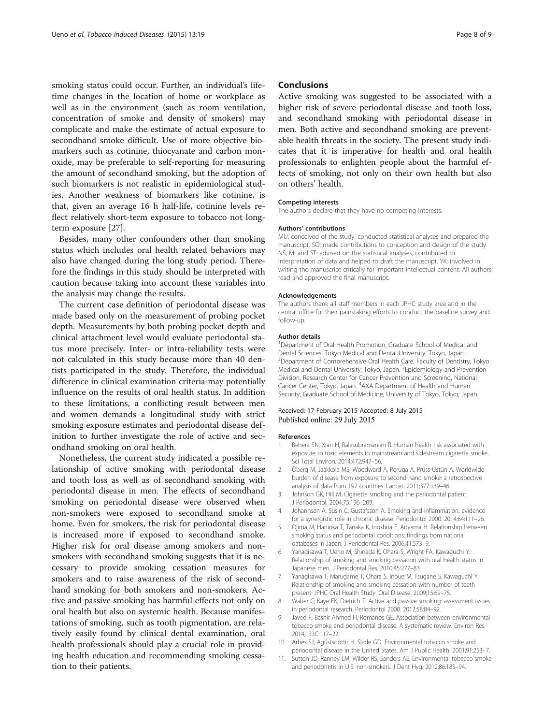<span id="page-7-0"></span>smoking status could occur. Further, an individual's lifetime changes in the location of home or workplace as well as in the environment (such as room ventilation, concentration of smoke and density of smokers) may complicate and make the estimate of actual exposure to secondhand smoke difficult. Use of more objective biomarkers such as cotinine, thiocyanate and carbon monoxide, may be preferable to self-reporting for measuring the amount of secondhand smoking, but the adoption of such biomarkers is not realistic in epidemiological studies. Another weakness of biomarkers like cotinine, is that, given an average 16 h half-life, cotinine levels reflect relatively short-term exposure to tobacco not longterm exposure [[27\]](#page-8-0).

Besides, many other confounders other than smoking status which includes oral health related behaviors may also have changed during the long study period. Therefore the findings in this study should be interpreted with caution because taking into account these variables into the analysis may change the results.

The current case definition of periodontal disease was made based only on the measurement of probing pocket depth. Measurements by both probing pocket depth and clinical attachment level would evaluate periodontal status more precisely. Inter- or intra-reliability tests were not calculated in this study because more than 40 dentists participated in the study. Therefore, the individual difference in clinical examination criteria may potentially influence on the results of oral health status. In addition to these limitations, a conflicting result between men and women demands a longitudinal study with strict smoking exposure estimates and periodontal disease definition to further investigate the role of active and secondhand smoking on oral health.

Nonetheless, the current study indicated a possible relationship of active smoking with periodontal disease and tooth loss as well as of secondhand smoking with periodontal disease in men. The effects of secondhand smoking on periodontal disease were observed when non-smokers were exposed to secondhand smoke at home. Even for smokers, the risk for periodontal disease is increased more if exposed to secondhand smoke. Higher risk for oral disease among smokers and nonsmokers with secondhand smoking suggests that it is necessary to provide smoking cessation measures for smokers and to raise awareness of the risk of secondhand smoking for both smokers and non-smokers. Active and passive smoking has harmful effects not only on oral health but also on systemic health. Because manifestations of smoking, such as tooth pigmentation, are relatively easily found by clinical dental examination, oral health professionals should play a crucial role in providing health education and recommending smoking cessation to their patients.

## Conclusions

Active smoking was suggested to be associated with a higher risk of severe periodontal disease and tooth loss, and secondhand smoking with periodontal disease in men. Both active and secondhand smoking are preventable health threats in the society. The present study indicates that it is imperative for health and oral health professionals to enlighten people about the harmful effects of smoking, not only on their own health but also on others' health.

#### Competing interests

The authors declare that they have no competing interests.

#### Authors' contributions

MU: conceived of the study, conducted statistical analyses and prepared the manuscript. SQ: made contributions to conception and design of the study. NS, MI and ST: advised on the statistical analyses, contributed to interpretation of data and helped to draft the manuscript. YK: involved in writing the manuscript critically for important intellectual content. All authors read and approved the final manuscript.

#### Acknowledgements

The authors thank all staff members in each JPHC study area and in the central office for their painstaking efforts to conduct the baseline survey and follow-up.

#### Author details

<sup>1</sup>Department of Oral Health Promotion, Graduate School of Medical and Dental Sciences, Tokyo Medical and Dental University, Tokyo, Japan. <sup>2</sup>Department of Comprehensive Oral Health Care, Faculty of Dentistry, Tokyo Medical and Dental University, Tokyo, Japan. <sup>3</sup>Epidemiology and Prevention Division, Research Center for Cancer Prevention and Screening, National Cancer Center, Tokyo, Japan. <sup>4</sup>AXA Department of Health and Human Security, Graduate School of Medicine, University of Tokyo, Tokyo, Japan.

## Received: 17 February 2015 Accepted: 8 July 2015 Published online: 29 July 2015

#### References

- 1. Behera SN, Xian H, Balasubramanian R. Human health risk associated with exposure to toxic elements in mainstream and sidestream cigarette smoke. Sci Total Environ. 2014;472:947–56.
- 2. Öberg M, Jaakkola MS, Woodward A, Peruga A, Prüss-Ustün A. Worldwide burden of disease from exposure to second-hand smoke: a retrospective analysis of data from 192 countries. Lancet. 2011;377:139–46.
- 3. Johnson GK, Hill M. Cigarette smoking and the periodontal patient. J Periodontol. 2004;75:196–209.
- 4. Johannsen A, Susin C, Gustafsson A. Smoking and inflammation: evidence for a synergistic role in chronic disease. Periodontol 2000. 2014;64:111–26.
- 5. Ojima M, Hanioka T, Tanaka K, Inoshita E, Aoyama H. Relationship between smoking status and periodontal conditions: findings from national databases in Japan. J Periodontal Res. 2006;41:573–9.
- 6. Yanagisawa T, Ueno M, Shinada K, Ohara S, Wright FA, Kawaguchi Y. Relationship of smoking and smoking cessation with oral health status in Japanese men. J Periodontal Res. 2010;45:277–83.
- 7. Yanagisawa T, Marugame T, Ohara S, Inoue M, Tsugane S, Kawaguchi Y. Relationship of smoking and smoking cessation with number of teeth present: JPHC Oral Health Study. Oral Disease. 2009;15:69–75.
- Walter C, Kaye EK, Dietrich T. Active and passive smoking: assessment issues in periodontal research. Periodontol 2000. 2012;58:84–92.
- 9. Javed F, Bashir Ahmed H, Romanos GE. Association between environmental tobacco smoke and periodontal disease: A systematic review. Environ Res. 2014;133C:117–22.
- 10. Arbes SJ, Agústsdóttir H, Slade GD. Environmental tobacco smoke and periodontal disease in the United States. Am J Public Health. 2001;91:253–7.
- 11. Sutton JD, Ranney LM, Wilder RS, Sanders AE. Environmental tobacco smoke and periodontitis in U.S. non-smokers. J Dent Hyg. 2012;86:185–94.